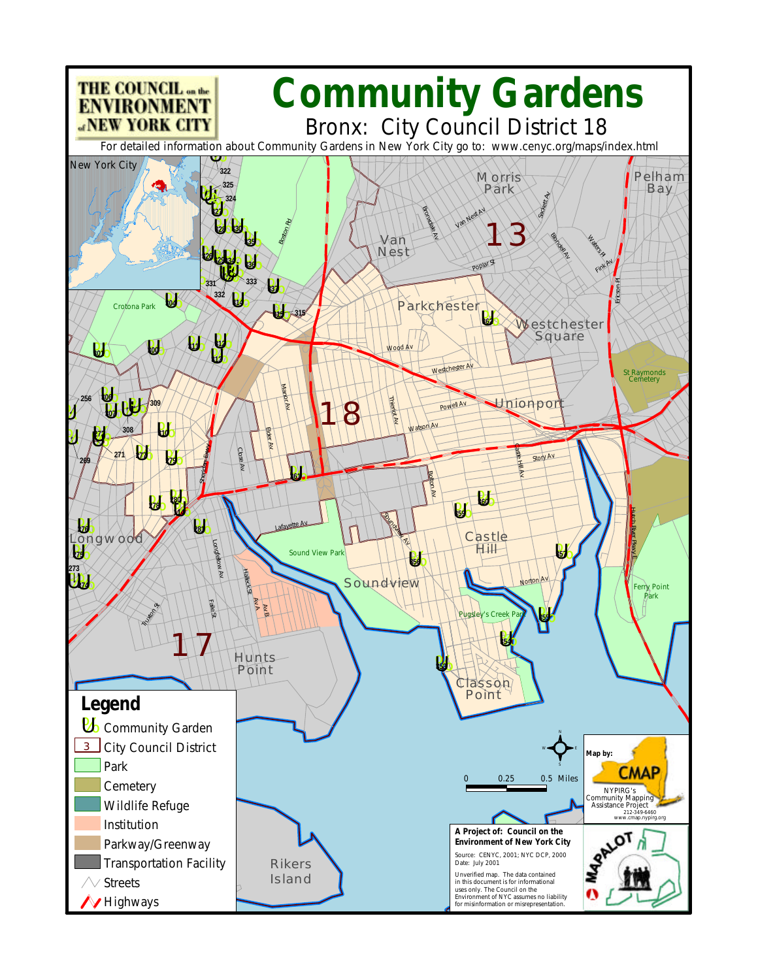